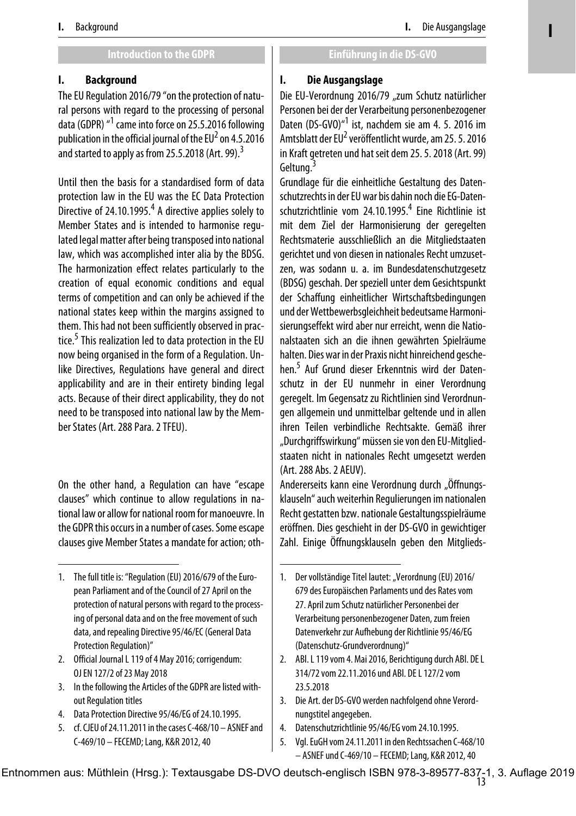**I**

#### **Introduction to the GDPR Einführung in die DS-GVO**

## **I. Background**

The EU Regulation 2016/79 "on the protection of natural persons with regard to the processing of personal data (GDPR) <sup>"1</sup> came into force on 25.5.2016 following publication in the official journal of the EU $^2$  on 4.5.2016 and started to apply as from 25.5.2018 (Art. 99).<sup>3</sup>

Until then the basis for a standardised form of data protection law in the EU was the EC Data Protection .<br>Directive of 24.10.1995.<sup>4</sup> A directive applies solely to Member States and is intended to harmonise regulated legal matter after being transposed into national law, which was accomplished inter alia by the BDSG. The harmonization effect relates particularly to the creation of equal economic conditions and equal terms of competition and can only be achieved if the national states keep within the margins assigned to them. This had not been sufficiently observed in practice.<sup>5</sup> This realization led to data protection in the EU now being organised in the form of a Regulation. Unlike Directives, Regulations have general and direct applicability and are in their entirety binding legal acts. Because of their direct applicability, they do not need to be transposed into national law by the Member States (Art. 288 Para. 2 TFEU).

On the other hand, a Regulation can have "escape clauses" which continue to allow regulations in national law or allow for national room for manoeuvre. In the GDPR this occurs in a number of cases. Some escape clauses give Member States a mandate for action; oth-

- 2. Official Journal L 119 of 4 May 2016; corrigendum: OJ EN 127/2 of 23 May 2018
- 3. In the following the Articles of the GDPR are listed without Regulation titles
- 4. Data Protection Directive 95/46/EG of 24.10.1995.
- 5. cf. CJEU of 24.11.2011 in the cases C-468/10 ASNEF and C-469/10 – FECEMD; Lang, K&R 2012, 40

## **I. Die Ausgangslage**

Die EU-Verordnung 2016/79 "zum Schutz natürlicher Personen bei der der Verarbeitung personenbezogener Daten (DS-GVO)<sup>"1</sup> ist, nachdem sie am 4. 5. 2016 im Amtsblatt der EU<sup>2</sup> veröffentlicht wurde, am 25. 5. 2016 in Kraft getreten und hat seit dem 25. 5. 2018 (Art. 99) Geltung.<sup>3</sup>

Grundlage für die einheitliche Gestaltung des Datenschutzrechts in der EU war bis dahin noch die EG-Datenschutzrichtlinie vom 24.10.1995.<sup>4</sup> Eine Richtlinie ist mit dem Ziel der Harmonisierung der geregelten Rechtsmaterie ausschließlich an die Mitgliedstaaten gerichtet und von diesen in nationales Recht umzusetzen, was sodann u. a. im Bundesdatenschutzgesetz (BDSG) geschah. Der speziell unter dem Gesichtspunkt der Schaffung einheitlicher Wirtschaftsbedingungen und der Wettbewerbsgleichheit bedeutsame Harmonisierungseffekt wird aber nur erreicht, wenn die Nationalstaaten sich an die ihnen gewährten Spielräume halten. Dies war in der Praxis nicht hinreichend geschehen.5 Auf Grund dieser Erkenntnis wird der Datenschutz in der EU nunmehr in einer Verordnung geregelt. Im Gegensatz zu Richtlinien sind Verordnungen allgemein und unmittelbar geltende und in allen ihren Teilen verbindliche Rechtsakte. Gemäß ihrer "Durchgriffswirkung" müssen sie von den EU-Mitgliedstaaten nicht in nationales Recht umgesetzt werden (Art. 288 Abs. 2 AEUV).

Andererseits kann eine Verordnung durch "Öffnungsklauseln" auch weiterhin Regulierungen im nationalen Recht gestatten bzw. nationale Gestaltungsspielräume eröffnen. Dies geschieht in der DS-GVO in gewichtiger Zahl. Einige Öffnungsklauseln geben den Mitglieds-

- 3. Die Art. der DS-GVO werden nachfolgend ohne Verordnungstitel angegeben.
- 4. Datenschutzrichtlinie 95/46/EG vom 24.10.1995.
- 5. Vgl. EuGH vom 24.11.2011 in den Rechtssachen C-468/10 – ASNEF und C-469/10 – FECEMD; Lang, K&R 2012, 40

Entnommen aus: Müthlein (Hrsg.): Textausgabe DS-DVO deutsch-englisch ISBN 978-3-89577-837-1, 3. Auflage 2019

<sup>1.</sup> The full title is: "Regulation (EU) 2016/679 of the European Parliament and of the Council of 27 April on the protection of natural persons with regard to the processing of personal data and on the free movement of such data, and repealing Directive 95/46/EC (General Data Protection Regulation)"

<sup>1.</sup> Der vollständige Titel lautet: "Verordnung (EU) 2016/ 679 des Europäischen Parlaments und des Rates vom 27. April zum Schutz natürlicher Personenbei der Verarbeitung personenbezogener Daten, zum freien Datenverkehr zur Aufhebung der Richtlinie 95/46/EG (Datenschutz-Grundverordnung)"

<sup>2.</sup> ABl. L 119 vom 4. Mai 2016, Berichtigung durch ABl. DE L 314/72 vom 22.11.2016 und ABl. DE L 127/2 vom 23.5.2018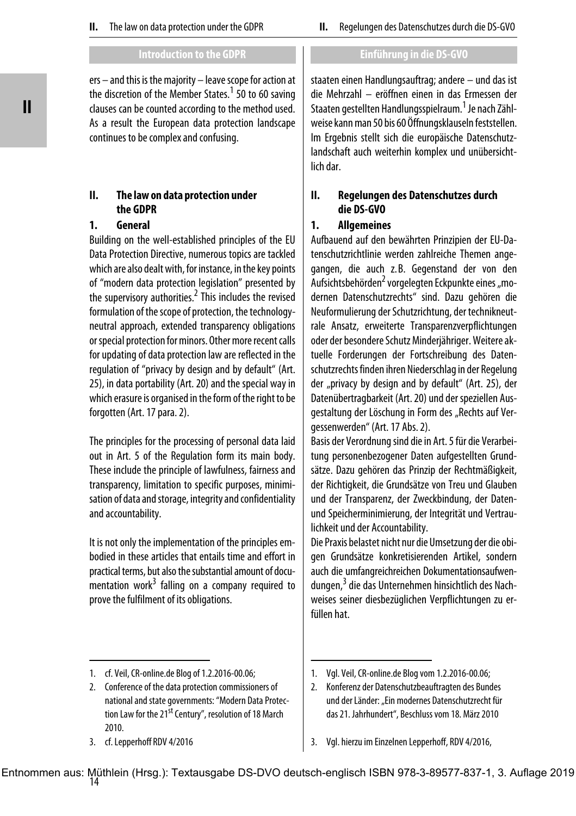ers – and this is the majority – leave scope for action at the discretion of the Member States.<sup>1</sup> 50 to 60 saving clauses can be counted according to the method used. As a result the European data protection landscape continues to be complex and confusing.

## **II. The law on data protection under the GDPR**

## **1. General**

Building on the well-established principles of the EU Data Protection Directive, numerous topics are tackled which are also dealt with, for instance, in the key points of "modern data protection legislation" presented by the supervisory authorities.<sup>2</sup> This includes the revised formulation of the scope of protection, the technologyneutral approach, extended transparency obligations or special protection for minors. Other more recent calls for updating of data protection law are reflected in the regulation of "privacy by design and by default" (Art. 25), in data portability (Art. 20) and the special way in which erasure is organised in the form of the right to be forgotten (Art. 17 para. 2).

The principles for the processing of personal data laid out in Art. 5 of the Regulation form its main body. These include the principle of lawfulness, fairness and transparency, limitation to specific purposes, minimisation of data and storage, integrity and confidentiality and accountability.

It is not only the implementation of the principles embodied in these articles that entails time and effort in practical terms, but also the substantial amount of docu-.<br>mentation work<sup>3</sup> falling on a company required to prove the fulfilment of its obligations.

## **Introduction to the GDPR Einführung in die DS-GVO**

staaten einen Handlungsauftrag; andere – und das ist die Mehrzahl – eröffnen einen in das Ermessen der Staaten gestellten Handlungsspielraum. <sup>1</sup> Je nach Zählweise kann man 50 bis 60 Öffnungsklauseln feststellen. Im Ergebnis stellt sich die europäische Datenschutzlandschaft auch weiterhin komplex und unübersichtlich dar.

## **II. Regelungen des Datenschutzes durch die DS-GVO**

## **1. Allgemeines**

Aufbauend auf den bewährten Prinzipien der EU-Datenschutzrichtlinie werden zahlreiche Themen angegangen, die auch z. B. Gegenstand der von den Aufsichtsbehörden<sup>2</sup> vorgelegten Eckpunkte eines "modernen Datenschutzrechts" sind. Dazu gehören die Neuformulierung der Schutzrichtung, der technikneutrale Ansatz, erweiterte Transparenzverpflichtungen oder der besondere Schutz Minderjähriger. Weitere aktuelle Forderungen der Fortschreibung des Datenschutzrechts finden ihren Niederschlag in der Regelung der "privacy by design and by default" (Art. 25), der Datenübertragbarkeit (Art. 20) und der speziellen Ausgestaltung der Löschung in Form des "Rechts auf Vergessenwerden" (Art. 17 Abs. 2).

Basis der Verordnung sind die in Art. 5 für die Verarbeitung personenbezogener Daten aufgestellten Grundsätze. Dazu gehören das Prinzip der Rechtmäßigkeit, der Richtigkeit, die Grundsätze von Treu und Glauben und der Transparenz, der Zweckbindung, der Datenund Speicherminimierung, der Integrität und Vertraulichkeit und der Accountability.

Die Praxis belastet nicht nur die Umsetzung der die obigen Grundsätze konkretisierenden Artikel, sondern auch die umfangreichreichen Dokumentationsaufwendungen,<sup>3</sup> die das Unternehmen hinsichtlich des Nachweises seiner diesbezüglichen Verpflichtungen zu erfüllen hat.

<sup>1.</sup> cf. Veil, CR-online.de Blog of 1.2.2016-00.06;

<sup>2.</sup> Conference of the data protection commissioners of national and state governments: "Modern Data Protection Law for the 21<sup>st</sup> Century", resolution of 18 March 2010.

<sup>3.</sup> cf. Lepperhoff RDV 4/2016

<sup>1.</sup> Vgl. Veil, CR-online.de Blog vom 1.2.2016-00.06;

<sup>2.</sup> Konferenz der Datenschutzbeauftragten des Bundes und der Länder: "Ein modernes Datenschutzrecht für das 21. Jahrhundert", Beschluss vom 18. März 2010

<sup>3.</sup> Vgl. hierzu im Einzelnen Lepperhoff, RDV 4/2016,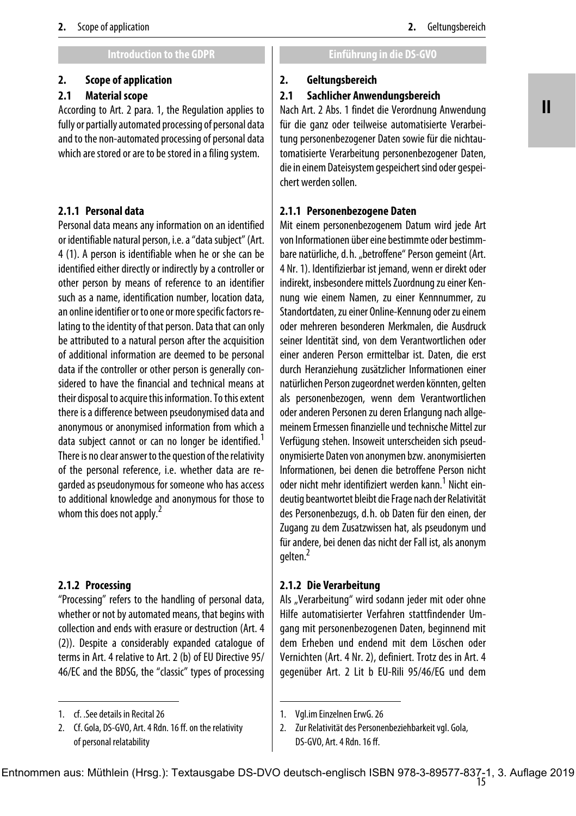## **2. Scope of application**

## **2.1 Material scope**

According to Art. 2 para. 1, the Regulation applies to fully or partially automated processing of personal data and to the non-automated processing of personal data which are stored or are to be stored in a filing system.

## **2.1.1 Personal data**

Personal data means any information on an identified or identifiable natural person, i.e. a "data subject" (Art. 4 (1). A person is identifiable when he or she can be identified either directly or indirectly by a controller or other person by means of reference to an identifier such as a name, identification number, location data, an online identifier or to one or more specific factors relating to the identity of that person. Data that can only be attributed to a natural person after the acquisition of additional information are deemed to be personal data if the controller or other person is generally considered to have the financial and technical means at their disposal to acquire this information. To this extent there is a difference between pseudonymised data and anonymous or anonymised information from which a data subject cannot or can no longer be identified.<sup>1</sup> There is no clear answer to the question of the relativity of the personal reference, i.e. whether data are regarded as pseudonymous for someone who has access to additional knowledge and anonymous for those to whom this does not apply.<sup>2</sup>

#### **2.1.2 Processing**

"Processing" refers to the handling of personal data, whether or not by automated means, that begins with collection and ends with erasure or destruction (Art. 4 (2)). Despite a considerably expanded catalogue of terms in Art. 4 relative to Art. 2 (b) of EU Directive 95/ 46/EC and the BDSG, the "classic" types of processing

#### **2. Geltungsbereich**

#### **2.1 Sachlicher Anwendungsbereich**

Nach Art. 2 Abs. 1 findet die Verordnung Anwendung für die ganz oder teilweise automatisierte Verarbeitung personenbezogener Daten sowie für die nichtautomatisierte Verarbeitung personenbezogener Daten, die in einem Dateisystem gespeichert sind oder gespeichert werden sollen.

## **2.1.1 Personenbezogene Daten**

Mit einem personenbezogenem Datum wird jede Art von Informationen über eine bestimmte oder bestimmbare natürliche, d. h. "betroffene" Person gemeint (Art. 4 Nr. 1). Identifizierbar ist jemand, wenn er direkt oder indirekt, insbesondere mittels Zuordnung zu einer Kennung wie einem Namen, zu einer Kennnummer, zu Standortdaten, zu einer Online-Kennung oder zu einem oder mehreren besonderen Merkmalen, die Ausdruck seiner Identität sind, von dem Verantwortlichen oder einer anderen Person ermittelbar ist. Daten, die erst durch Heranziehung zusätzlicher Informationen einer natürlichen Person zugeordnet werden könnten, gelten als personenbezogen, wenn dem Verantwortlichen oder anderen Personen zu deren Erlangung nach allgemeinem Ermessen finanzielle und technische Mittel zur Verfügung stehen. Insoweit unterscheiden sich pseudonymisierte Daten von anonymen bzw. anonymisierten Informationen, bei denen die betroffene Person nicht oder nicht mehr identifiziert werden kann.<sup>1</sup> Nicht eindeutig beantwortet bleibt die Frage nach der Relativität des Personenbezugs, d. h. ob Daten für den einen, der Zugang zu dem Zusatzwissen hat, als pseudonym und für andere, bei denen das nicht der Fall ist, als anonym gelten.2

#### **2.1.2 Die Verarbeitung**

Als "Verarbeitung" wird sodann jeder mit oder ohne Hilfe automatisierter Verfahren stattfindender Umgang mit personenbezogenen Daten, beginnend mit dem Erheben und endend mit dem Löschen oder Vernichten (Art. 4 Nr. 2), definiert. Trotz des in Art. 4 gegenüber Art. 2 Lit b EU-Rili 95/46/EG und dem

<sup>1.</sup> cf. .See details in Recital 26

<sup>2.</sup> Cf. Gola, DS-GVO, Art. 4 Rdn. 16 ff. on the relativity of personal relatability

<sup>1.</sup> Vgl.im Einzelnen ErwG. 26

<sup>2.</sup> Zur Relativität des Personenbeziehbarkeit vgl. Gola, DS-GVO, Art. 4 Rdn. 16 ff.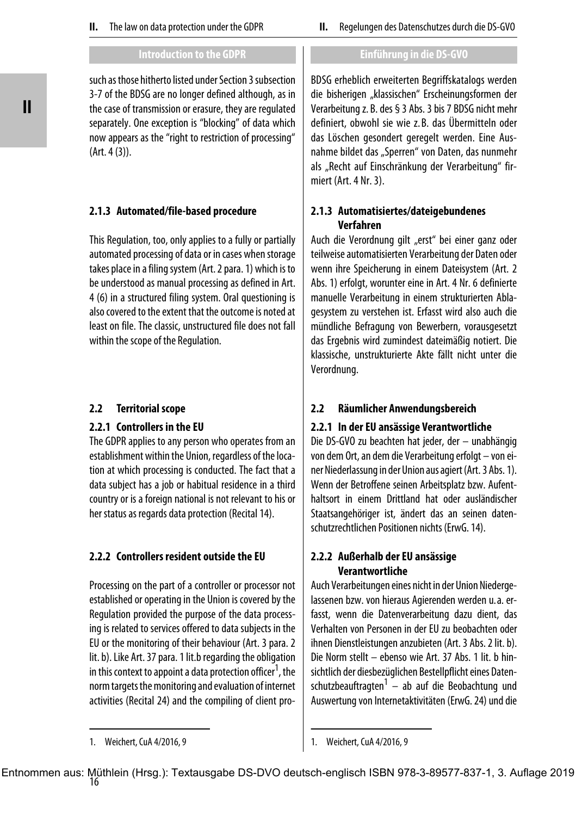such as those hitherto listed under Section 3 subsection 3-7 of the BDSG are no longer defined although, as in the case of transmission or erasure, they are regulated separately. One exception is "blocking" of data which now appears as the "right to restriction of processing" (Art. 4 (3)).

# **2.1.3 Automated/file-based procedure**

This Regulation, too, only applies to a fully or partially automated processing of data or in cases when storage takes place in a filing system (Art. 2 para. 1) which is to be understood as manual processing as defined in Art. 4 (6) in a structured filing system. Oral questioning is also covered to the extent that the outcome is noted at least on file. The classic, unstructured file does not fall within the scope of the Regulation.

# **2.2 Territorial scope**

# **2.2.1 Controllers in the EU**

The GDPR applies to any person who operates from an establishment within the Union, regardless of the location at which processing is conducted. The fact that a data subject has a job or habitual residence in a third country or is a foreign national is not relevant to his or her status as regards data protection (Recital 14).

# **2.2.2 Controllers resident outside the EU**

Processing on the part of a controller or processor not established or operating in the Union is covered by the Regulation provided the purpose of the data processing is related to services offered to data subjects in the EU or the monitoring of their behaviour (Art. 3 para. 2 lit. b). Like Art. 37 para. 1 lit.b regarding the obligation in this context to appoint a data protection officer<sup>1</sup>, the norm targets the monitoring and evaluation of internet activities (Recital 24) and the compiling of client proBDSG erheblich erweiterten Begriffskatalogs werden die bisherigen "klassischen" Erscheinungsformen der Verarbeitung z. B. des § 3 Abs. 3 bis 7 BDSG nicht mehr definiert, obwohl sie wie z. B. das Übermitteln oder das Löschen gesondert geregelt werden. Eine Ausnahme bildet das "Sperren" von Daten, das nunmehr als "Recht auf Einschränkung der Verarbeitung" firmiert (Art. 4 Nr. 3).

## **2.1.3 Automatisiertes/dateigebundenes Verfahren**

Auch die Verordnung gilt "erst" bei einer ganz oder teilweise automatisierten Verarbeitung der Daten oder wenn ihre Speicherung in einem Dateisystem (Art. 2 Abs. 1) erfolgt, worunter eine in Art. 4 Nr. 6 definierte manuelle Verarbeitung in einem strukturierten Ablagesystem zu verstehen ist. Erfasst wird also auch die mündliche Befragung von Bewerbern, vorausgesetzt das Ergebnis wird zumindest dateimäßig notiert. Die klassische, unstrukturierte Akte fällt nicht unter die Verordnung.

# **2.2 Räumlicher Anwendungsbereich**

# **2.2.1 In der EU ansässige Verantwortliche**

Die DS-GVO zu beachten hat jeder, der – unabhängig von dem Ort, an dem die Verarbeitung erfolgt – von einer Niederlassung in der Union aus agiert (Art. 3 Abs. 1). Wenn der Betroffene seinen Arbeitsplatz bzw. Aufenthaltsort in einem Drittland hat oder ausländischer Staatsangehöriger ist, ändert das an seinen datenschutzrechtlichen Positionen nichts (ErwG. 14).

# **2.2.2 Außerhalb der EU ansässige Verantwortliche**

Auch Verarbeitungen eines nicht in der Union Niedergelassenen bzw. von hieraus Agierenden werden u.a. erfasst, wenn die Datenverarbeitung dazu dient, das Verhalten von Personen in der EU zu beobachten oder ihnen Dienstleistungen anzubieten (Art. 3 Abs. 2 lit. b). Die Norm stellt – ebenso wie Art. 37 Abs. 1 lit. b hinsichtlich der diesbezüglichen Bestellpflicht eines Datenschutzbeauftragten<sup>1</sup> - ab auf die Beobachtung und Auswertung von Internetaktivitäten (ErwG. 24) und die

<sup>1.</sup> Weichert, CuA 4/2016, 9

<sup>1.</sup> Weichert, CuA 4/2016, 9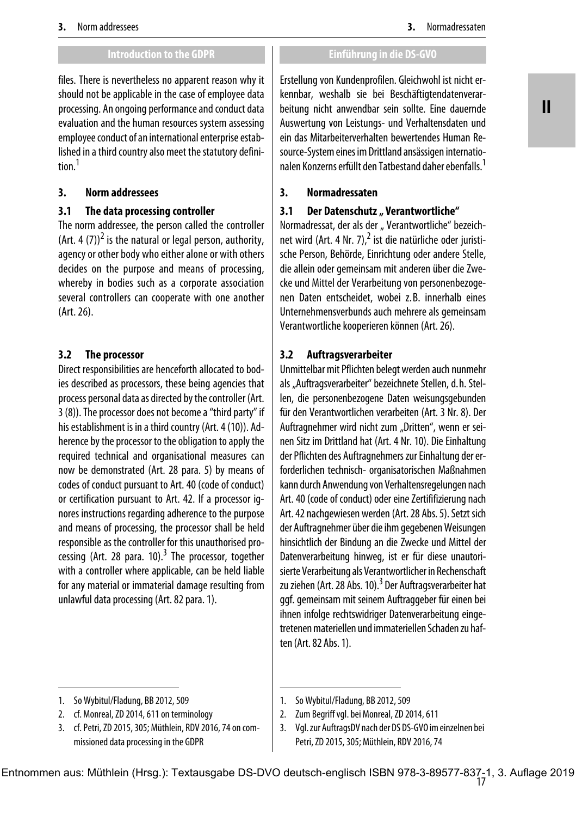files. There is nevertheless no apparent reason why it should not be applicable in the case of employee data processing. An ongoing performance and conduct data evaluation and the human resources system assessing employee conduct of an international enterprise established in a third country also meet the statutory definition.1

## **3. Norm addressees**

# **3.1 The data processing controller**

The norm addressee, the person called the controller (Art. 4 (7))<sup>2</sup> is the natural or legal person, authority, agency or other body who either alone or with others decides on the purpose and means of processing, whereby in bodies such as a corporate association several controllers can cooperate with one another (Art. 26).

# **3.2 The processor**

Direct responsibilities are henceforth allocated to bodies described as processors, these being agencies that process personal data as directed by the controller (Art. 3 (8)). The processor does not become a "third party" if his establishment is in a third country (Art. 4 (10)). Adherence by the processor to the obligation to apply the required technical and organisational measures can now be demonstrated (Art. 28 para. 5) by means of codes of conduct pursuant to Art. 40 (code of conduct) or certification pursuant to Art. 42. If a processor ignores instructions regarding adherence to the purpose and means of processing, the processor shall be held responsible as the controller for this unauthorised processing (Art. 28 para. 10).<sup>3</sup> The processor, together with a controller where applicable, can be held liable for any material or immaterial damage resulting from unlawful data processing (Art. 82 para. 1).

- 2. cf. Monreal, ZD 2014, 611 on terminology
- 3. cf. Petri, ZD 2015, 305; Müthlein, RDV 2016, 74 on commissioned data processing in the GDPR

Erstellung von Kundenprofilen. Gleichwohl ist nicht erkennbar, weshalb sie bei Beschäftigtendatenverarbeitung nicht anwendbar sein sollte. Eine dauernde Auswertung von Leistungs- und Verhaltensdaten und ein das Mitarbeiterverhalten bewertendes Human Resource-System eines im Drittland ansässigen internationalen Konzerns erfüllt den Tatbestand daher ebenfalls.1

## **3. Normadressaten**

## **3.1** Der Datenschutz "Verantwortliche"

Normadressat, der als der "Verantwortliche" bezeichnet wird (Art. 4 Nr. 7), $^2$  ist die natürliche oder juristische Person, Behörde, Einrichtung oder andere Stelle, die allein oder gemeinsam mit anderen über die Zwecke und Mittel der Verarbeitung von personenbezogenen Daten entscheidet, wobei z. B. innerhalb eines Unternehmensverbunds auch mehrere als gemeinsam Verantwortliche kooperieren können (Art. 26).

## **3.2 Auftragsverarbeiter**

Unmittelbar mit Pflichten belegt werden auch nunmehr als "Auftragsverarbeiter" bezeichnete Stellen, d.h. Stellen, die personenbezogene Daten weisungsgebunden für den Verantwortlichen verarbeiten (Art. 3 Nr. 8). Der Auftragnehmer wird nicht zum "Dritten", wenn er seinen Sitz im Drittland hat (Art. 4 Nr. 10). Die Einhaltung der Pflichten des Auftragnehmers zur Einhaltung der erforderlichen technisch- organisatorischen Maßnahmen kann durch Anwendung von Verhaltensregelungen nach Art. 40 (code of conduct) oder eine Zertififizierung nach Art. 42 nachgewiesen werden (Art. 28 Abs. 5). Setzt sich der Auftragnehmer über die ihm gegebenen Weisungen hinsichtlich der Bindung an die Zwecke und Mittel der Datenverarbeitung hinweg, ist er für diese unautorisierte Verarbeitung als Verantwortlicher in Rechenschaft zu ziehen (Art. 28 Abs. 10).<sup>3</sup> Der Auftragsverarbeiter hat ggf. gemeinsam mit seinem Auftraggeber für einen bei ihnen infolge rechtswidriger Datenverarbeitung eingetretenen materiellen und immateriellen Schaden zu haften (Art. 82 Abs. 1).

2. Zum Begriff vgl. bei Monreal, ZD 2014, 611

**II**

<sup>1.</sup> So Wybitul/Fladung, BB 2012, 509

<sup>1.</sup> So Wybitul/Fladung, BB 2012, 509

<sup>3.</sup> Vgl. zur AuftragsDV nach der DS DS-GVO im einzelnen bei Petri, ZD 2015, 305; Müthlein, RDV 2016, 74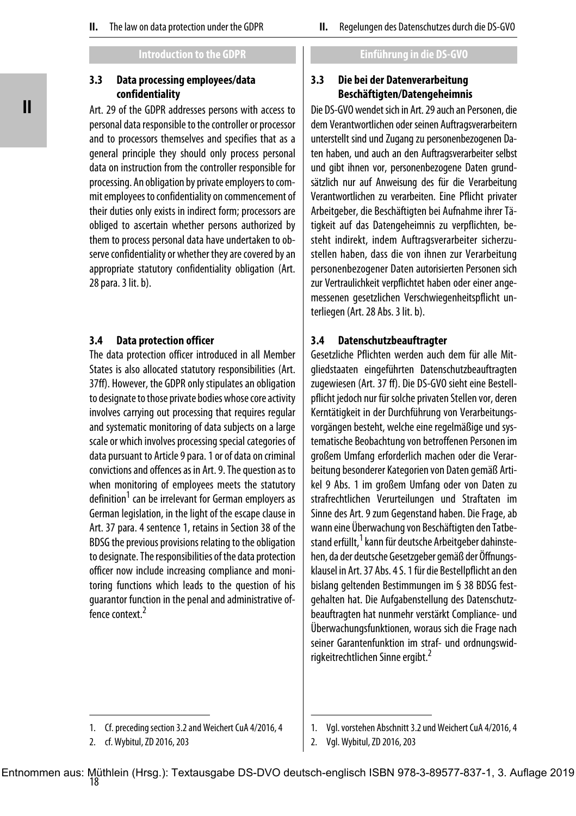## **3.3 Data processing employees/data confidentiality**

Art. 29 of the GDPR addresses persons with access to personal data responsible to the controller or processor and to processors themselves and specifies that as a general principle they should only process personal data on instruction from the controller responsible for processing. An obligation by private employers to commit employees to confidentiality on commencement of their duties only exists in indirect form; processors are obliged to ascertain whether persons authorized by them to process personal data have undertaken to observe confidentiality or whether they are covered by an appropriate statutory confidentiality obligation (Art. 28 para. 3 lit. b).

## **3.4 Data protection officer**

The data protection officer introduced in all Member States is also allocated statutory responsibilities (Art. 37ff). However, the GDPR only stipulates an obligation to designate to those private bodies whose core activity involves carrying out processing that requires regular and systematic monitoring of data subjects on a large scale or which involves processing special categories of data pursuant to Article 9 para. 1 or of data on criminal convictions and offences as in Art. 9. The question as to when monitoring of employees meets the statutory definition<sup>1</sup> can be irrelevant for German employers as German legislation, in the light of the escape clause in Art. 37 para. 4 sentence 1, retains in Section 38 of the BDSG the previous provisions relating to the obligation to designate. The responsibilities of the data protection officer now include increasing compliance and monitoring functions which leads to the question of his guarantor function in the penal and administrative offence context.<sup>2</sup>

## **3.3 Die bei der Datenverarbeitung Beschäftigten/Datengeheimnis**

Die DS-GVO wendet sich in Art. 29 auch an Personen, die dem Verantwortlichen oder seinen Auftragsverarbeitern unterstellt sind und Zugang zu personenbezogenen Daten haben, und auch an den Auftragsverarbeiter selbst und gibt ihnen vor, personenbezogene Daten grundsätzlich nur auf Anweisung des für die Verarbeitung Verantwortlichen zu verarbeiten. Eine Pflicht privater Arbeitgeber, die Beschäftigten bei Aufnahme ihrer Tätigkeit auf das Datengeheimnis zu verpflichten, besteht indirekt, indem Auftragsverarbeiter sicherzustellen haben, dass die von ihnen zur Verarbeitung personenbezogener Daten autorisierten Personen sich zur Vertraulichkeit verpflichtet haben oder einer angemessenen gesetzlichen Verschwiegenheitspflicht unterliegen (Art. 28 Abs. 3 lit. b).

## **3.4 Datenschutzbeauftragter**

Gesetzliche Pflichten werden auch dem für alle Mitgliedstaaten eingeführten Datenschutzbeauftragten zugewiesen (Art. 37 ff). Die DS-GVO sieht eine Bestellpflicht jedoch nur für solche privaten Stellen vor, deren Kerntätigkeit in der Durchführung von Verarbeitungsvorgängen besteht, welche eine regelmäßige und systematische Beobachtung von betroffenen Personen im großem Umfang erforderlich machen oder die Verarbeitung besonderer Kategorien von Daten gemäß Artikel 9 Abs. 1 im großem Umfang oder von Daten zu strafrechtlichen Verurteilungen und Straftaten im Sinne des Art. 9 zum Gegenstand haben. Die Frage, ab wann eine Überwachung von Beschäftigten den Tatbestand erfüllt, <sup>1</sup> kann für deutsche Arbeitgeber dahinstehen, da der deutsche Gesetzgeber gemäß der Öffnungsklausel in Art. 37 Abs. 4 S. 1 für die Bestellpflicht an den bislang geltenden Bestimmungen im § 38 BDSG festgehalten hat. Die Aufgabenstellung des Datenschutzbeauftragten hat nunmehr verstärkt Compliance- und Überwachungsfunktionen, woraus sich die Frage nach seiner Garantenfunktion im straf- und ordnungswidrigkeitrechtlichen Sinne ergibt.<sup>2</sup>

<sup>1.</sup> Cf. preceding section 3.2 and Weichert CuA 4/2016, 4

<sup>2.</sup> cf. Wybitul, ZD 2016, 203

<sup>1.</sup> Vgl. vorstehen Abschnitt 3.2 und Weichert CuA 4/2016, 4

<sup>2.</sup> Vgl. Wybitul, ZD 2016, 203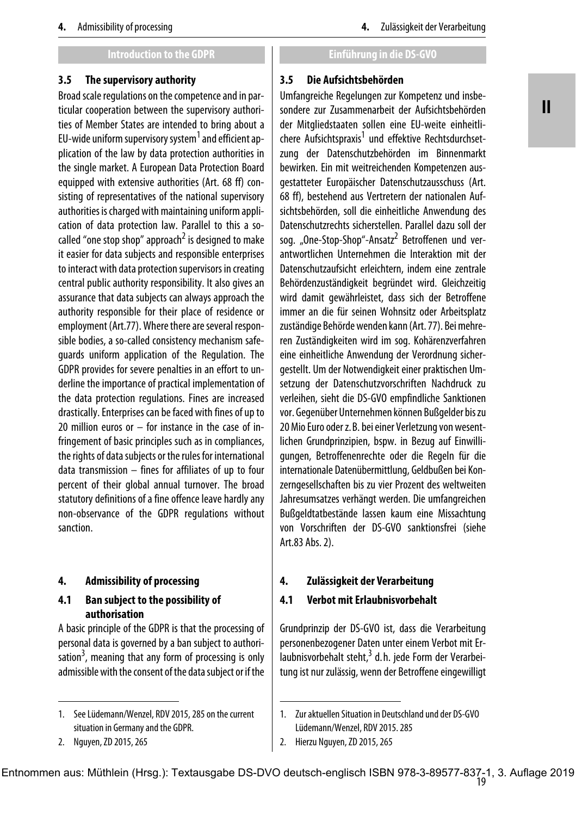### **3.5 The supervisory authority**

Broad scale regulations on the competence and in particular cooperation between the supervisory authorities of Member States are intended to bring about a EU-wide uniform supervisory system<sup>1</sup> and efficient application of the law by data protection authorities in the single market. A European Data Protection Board equipped with extensive authorities (Art. 68 ff) consisting of representatives of the national supervisory authorities is charged with maintaining uniform application of data protection law. Parallel to this a socalled "one stop shop" approach<sup>2</sup> is designed to make it easier for data subjects and responsible enterprises to interact with data protection supervisors in creating central public authority responsibility. It also gives an assurance that data subjects can always approach the authority responsible for their place of residence or employment (Art.77). Where there are several responsible bodies, a so-called consistency mechanism safeguards uniform application of the Regulation. The GDPR provides for severe penalties in an effort to underline the importance of practical implementation of the data protection regulations. Fines are increased drastically. Enterprises can be faced with fines of up to 20 million euros or – for instance in the case of infringement of basic principles such as in compliances, the rights of data subjects or the rules for international data transmission – fines for affiliates of up to four percent of their global annual turnover. The broad statutory definitions of a fine offence leave hardly any non-observance of the GDPR regulations without sanction.

## **4. Admissibility of processing**

## **4.1 Ban subject to the possibility of authorisation**

A basic principle of the GDPR is that the processing of personal data is governed by a ban subject to authori-.<br>sation<sup>3</sup>, meaning that any form of processing is only admissible with the consent of the data subject or if the

#### **3.5 Die Aufsichtsbehörden**

Umfangreiche Regelungen zur Kompetenz und insbesondere zur Zusammenarbeit der Aufsichtsbehörden der Mitgliedstaaten sollen eine EU-weite einheitlichere Aufsichtspraxis<sup>1</sup> und effektive Rechtsdurchsetzung der Datenschutzbehörden im Binnenmarkt bewirken. Ein mit weitreichenden Kompetenzen ausgestatteter Europäischer Datenschutzausschuss (Art. 68 ff), bestehend aus Vertretern der nationalen Aufsichtsbehörden, soll die einheitliche Anwendung des Datenschutzrechts sicherstellen. Parallel dazu soll der sog. "One-Stop-Shop"-Ansatz $^2$  Betroffenen und verantwortlichen Unternehmen die Interaktion mit der Datenschutzaufsicht erleichtern, indem eine zentrale Behördenzuständigkeit begründet wird. Gleichzeitig wird damit gewährleistet, dass sich der Betroffene immer an die für seinen Wohnsitz oder Arbeitsplatz zuständige Behörde wenden kann (Art. 77). Bei mehreren Zuständigkeiten wird im sog. Kohärenzverfahren eine einheitliche Anwendung der Verordnung sichergestellt. Um der Notwendigkeit einer praktischen Umsetzung der Datenschutzvorschriften Nachdruck zu verleihen, sieht die DS-GVO empfindliche Sanktionen vor. Gegenüber Unternehmen können Bußgelder bis zu 20 Mio Euro oder z. B. bei einer Verletzung von wesentlichen Grundprinzipien, bspw. in Bezug auf Einwilligungen, Betroffenenrechte oder die Regeln für die internationale Datenübermittlung, Geldbußen bei Konzerngesellschaften bis zu vier Prozent des weltweiten Jahresumsatzes verhängt werden. Die umfangreichen Bußgeldtatbestände lassen kaum eine Missachtung von Vorschriften der DS-GVO sanktionsfrei (siehe Art.83 Abs. 2).

## **4. Zulässigkeit der Verarbeitung**

## **4.1 Verbot mit Erlaubnisvorbehalt**

Grundprinzip der DS-GVO ist, dass die Verarbeitung personenbezogener Daten unter einem Verbot mit Er-.<br>laubnisvorbehalt steht,<sup>3</sup> d.h. jede Form der Verarbeitung ist nur zulässig, wenn der Betroffene eingewilligt

# **II**

<sup>1.</sup> See Lüdemann/Wenzel, RDV 2015, 285 on the current situation in Germany and the GDPR.

<sup>2.</sup> Nguyen, ZD 2015, 265

<sup>1.</sup> Zur aktuellen Situation in Deutschland und der DS-GVO Lüdemann/Wenzel, RDV 2015. 285

<sup>2.</sup> Hierzu Nguyen, ZD 2015, 265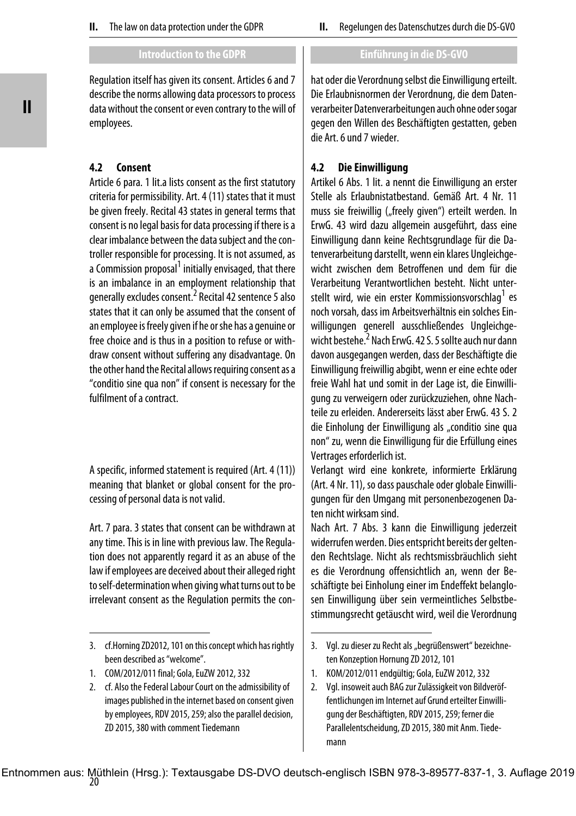Regulation itself has given its consent. Articles 6 and 7 describe the norms allowing data processors to process data without the consent or even contrary to the will of employees.

## **4.2 Consent**

Article 6 para. 1 lit.a lists consent as the first statutory criteria for permissibility. Art. 4 (11) states that it must be given freely. Recital 43 states in general terms that consent is no legal basis for data processing if there is a clear imbalance between the data subject and the controller responsible for processing. It is not assumed, as a Commission proposal<sup>1</sup> initially envisaged, that there is an imbalance in an employment relationship that generally excludes consent.<sup>2</sup> Recital 42 sentence 5 also states that it can only be assumed that the consent of an employee is freely given if he or she has a genuine or free choice and is thus in a position to refuse or withdraw consent without suffering any disadvantage. On the other hand the Recital allows requiring consent as a "conditio sine qua non" if consent is necessary for the fulfilment of a contract.

A specific, informed statement is required (Art. 4 (11)) meaning that blanket or global consent for the processing of personal data is not valid.

Art. 7 para. 3 states that consent can be withdrawn at any time. This is in line with previous law. The Regulation does not apparently regard it as an abuse of the law if employees are deceived about their alleged right to self-determination when giving what turns out to be irrelevant consent as the Regulation permits the con-

hat oder die Verordnung selbst die Einwilligung erteilt. Die Erlaubnisnormen der Verordnung, die dem Datenverarbeiter Datenverarbeitungen auch ohne oder sogar gegen den Willen des Beschäftigten gestatten, geben die Art. 6 und 7 wieder.

## **4.2 Die Einwilligung**

Artikel 6 Abs. 1 lit. a nennt die Einwilligung an erster Stelle als Erlaubnistatbestand. Gemäß Art. 4 Nr. 11 muss sie freiwillig ("freely given") erteilt werden. In ErwG. 43 wird dazu allgemein ausgeführt, dass eine Einwilligung dann keine Rechtsgrundlage für die Datenverarbeitung darstellt, wenn ein klares Ungleichgewicht zwischen dem Betroffenen und dem für die Verarbeitung Verantwortlichen besteht. Nicht unterstellt wird, wie ein erster Kommissionsvorschlag<sup>1</sup> es noch vorsah, dass im Arbeitsverhältnis ein solches Einwilligungen generell ausschließendes Ungleichgewicht bestehe.<sup>2</sup> Nach ErwG. 42 S. 5 sollte auch nur dann davon ausgegangen werden, dass der Beschäftigte die Einwilligung freiwillig abgibt, wenn er eine echte oder freie Wahl hat und somit in der Lage ist, die Einwilligung zu verweigern oder zurückzuziehen, ohne Nachteile zu erleiden. Andererseits lässt aber ErwG. 43 S. 2 die Einholung der Einwilligung als "conditio sine qua non" zu, wenn die Einwilligung für die Erfüllung eines Vertrages erforderlich ist.

Verlangt wird eine konkrete, informierte Erklärung (Art. 4 Nr. 11), so dass pauschale oder globale Einwilligungen für den Umgang mit personenbezogenen Daten nicht wirksam sind.

Nach Art. 7 Abs. 3 kann die Einwilligung jederzeit widerrufen werden. Dies entspricht bereits der geltenden Rechtslage. Nicht als rechtsmissbräuchlich sieht es die Verordnung offensichtlich an, wenn der Beschäftigte bei Einholung einer im Endeffekt belanglosen Einwilligung über sein vermeintliches Selbstbestimmungsrecht getäuscht wird, weil die Verordnung

<sup>3.</sup> cf.Horning ZD2012, 101 on this concept which has rightly been described as "welcome".

<sup>1.</sup> COM/2012/011 final; Gola, EuZW 2012, 332

<sup>2.</sup> cf. Also the Federal Labour Court on the admissibility of images published in the internet based on consent given by employees, RDV 2015, 259; also the parallel decision, ZD 2015, 380 with comment Tiedemann

<sup>3.</sup> Vgl. zu dieser zu Recht als "begrüßenswert" bezeichneten Konzeption Hornung ZD 2012, 101

<sup>1.</sup> KOM/2012/011 endgültig; Gola, EuZW 2012, 332

<sup>2.</sup> Vgl. insoweit auch BAG zur Zulässigkeit von Bildveröffentlichungen im Internet auf Grund erteilter Einwilligung der Beschäftigten, RDV 2015, 259; ferner die Parallelentscheidung, ZD 2015, 380 mit Anm. Tiedemann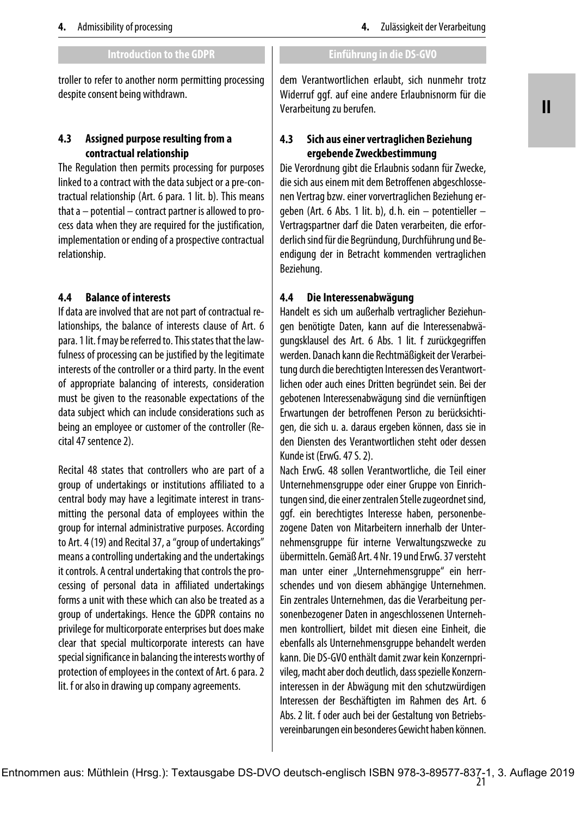troller to refer to another norm permitting processing despite consent being withdrawn.

## **4.3 Assigned purpose resulting from a contractual relationship**

The Regulation then permits processing for purposes linked to a contract with the data subject or a pre-contractual relationship (Art. 6 para. 1 lit. b). This means that a – potential – contract partner is allowed to process data when they are required for the justification, implementation or ending of a prospective contractual relationship.

## **4.4 Balance of interests**

If data are involved that are not part of contractual relationships, the balance of interests clause of Art. 6 para. 1 lit. f may be referred to. This states that the lawfulness of processing can be justified by the legitimate interests of the controller or a third party. In the event of appropriate balancing of interests, consideration must be given to the reasonable expectations of the data subject which can include considerations such as being an employee or customer of the controller (Recital 47 sentence 2).

Recital 48 states that controllers who are part of a group of undertakings or institutions affiliated to a central body may have a legitimate interest in transmitting the personal data of employees within the group for internal administrative purposes. According to Art. 4 (19) and Recital 37, a "group of undertakings" means a controlling undertaking and the undertakings it controls. A central undertaking that controls the processing of personal data in affiliated undertakings forms a unit with these which can also be treated as a group of undertakings. Hence the GDPR contains no privilege for multicorporate enterprises but does make clear that special multicorporate interests can have special significance in balancing the interests worthy of protection of employees in the context of Art. 6 para. 2 lit. f or also in drawing up company agreements.

dem Verantwortlichen erlaubt, sich nunmehr trotz Widerruf ggf. auf eine andere Erlaubnisnorm für die Verarbeitung zu berufen.

## **4.3 Sich aus einer vertraglichen Beziehung ergebende Zweckbestimmung**

Die Verordnung gibt die Erlaubnis sodann für Zwecke, die sich aus einem mit dem Betroffenen abgeschlossenen Vertrag bzw. einer vorvertraglichen Beziehung ergeben (Art. 6 Abs. 1 lit. b), d. h. ein – potentieller – Vertragspartner darf die Daten verarbeiten, die erforderlich sind für die Begründung, Durchführung und Beendigung der in Betracht kommenden vertraglichen Beziehung.

## **4.4 Die Interessenabwägung**

Handelt es sich um außerhalb vertraglicher Beziehungen benötigte Daten, kann auf die Interessenabwägungsklausel des Art. 6 Abs. 1 lit. f zurückgegriffen werden. Danach kann die Rechtmäßigkeit der Verarbeitung durch die berechtigten Interessen des Verantwortlichen oder auch eines Dritten begründet sein. Bei der gebotenen Interessenabwägung sind die vernünftigen Erwartungen der betroffenen Person zu berücksichtigen, die sich u. a. daraus ergeben können, dass sie in den Diensten des Verantwortlichen steht oder dessen Kunde ist (ErwG. 47 S. 2).

Nach ErwG. 48 sollen Verantwortliche, die Teil einer Unternehmensgruppe oder einer Gruppe von Einrichtungen sind, die einer zentralen Stelle zugeordnet sind, ggf. ein berechtigtes Interesse haben, personenbezogene Daten von Mitarbeitern innerhalb der Unternehmensgruppe für interne Verwaltungszwecke zu übermitteln. Gemäß Art. 4 Nr. 19 und ErwG. 37 versteht man unter einer "Unternehmensgruppe" ein herrschendes und von diesem abhängige Unternehmen. Ein zentrales Unternehmen, das die Verarbeitung personenbezogener Daten in angeschlossenen Unternehmen kontrolliert, bildet mit diesen eine Einheit, die ebenfalls als Unternehmensgruppe behandelt werden kann. Die DS-GVO enthält damit zwar kein Konzernprivileg, macht aber doch deutlich, dass spezielle Konzerninteressen in der Abwägung mit den schutzwürdigen Interessen der Beschäftigten im Rahmen des Art. 6 Abs. 2 lit. f oder auch bei der Gestaltung von Betriebsvereinbarungen ein besonderes Gewicht haben können.

21